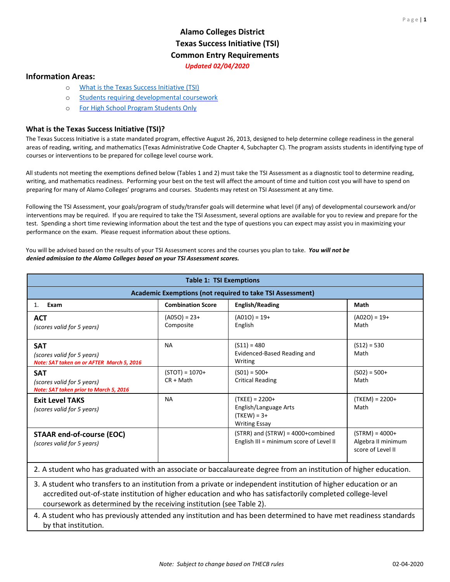## **Alamo Colleges District Texas Success Initiative (TSI) Common Entry Requirements** *Updated 02/04/2020*

#### <span id="page-0-1"></span>**Information Areas:**

- o [What is the Texas Success Initiative \(TSI\)](#page-0-0)
- o [Students requiring developmental coursework](#page-2-0)
- o [For High School Program](#page-4-0) Students Only

#### <span id="page-0-0"></span>**What is the Texas Success Initiative (TSI)?**

The Texas Success Initiative is a state mandated program, effective August 26, 2013, designed to help determine college readiness in the general areas of reading, writing, and mathematics (Texas Administrative Code Chapter 4, Subchapter C). The program assists students in identifying type of courses or interventions to be prepared for college level course work.

All students not meeting the exemptions defined below (Tables 1 and 2) must take the TSI Assessment as a diagnostic tool to determine reading, writing, and mathematics readiness. Performing your best on the test will affect the amount of time and tuition cost you will have to spend on preparing for many of Alamo Colleges' programs and courses. Students may retest on TSI Assessment at any time.

Following the TSI Assessment, your goals/program of study/transfer goals will determine what level (if any) of developmental coursework and/or interventions may be required. If you are required to take the TSI Assessment, several options are available for you to review and prepare for the test. Spending a short time reviewing information about the test and the type of questions you can expect may assist you in maximizing your performance on the exam. Please request information about these options.

You will be advised based on the results of your TSI Assessment scores and the courses you plan to take. *You will not be denied admission to the Alamo Colleges based on your TSI Assessment scores.* 

| <b>Table 1: TSI Exemptions</b>                                                                                                                                                                                                                                                                         |                                 |                                                                                    |                                                             |  |
|--------------------------------------------------------------------------------------------------------------------------------------------------------------------------------------------------------------------------------------------------------------------------------------------------------|---------------------------------|------------------------------------------------------------------------------------|-------------------------------------------------------------|--|
| Academic Exemptions (not required to take TSI Assessment)                                                                                                                                                                                                                                              |                                 |                                                                                    |                                                             |  |
| Exam<br>1.                                                                                                                                                                                                                                                                                             | <b>Combination Score</b>        | <b>English/Reading</b>                                                             | Math                                                        |  |
| <b>ACT</b><br>(scores valid for 5 years)                                                                                                                                                                                                                                                               | $(A050) = 23+$<br>Composite     | $(A010) = 19+$<br>English                                                          | $(A020) = 19+$<br>Math                                      |  |
| <b>SAT</b><br>(scores valid for 5 years)<br>Note: SAT taken on or AFTER March 5, 2016                                                                                                                                                                                                                  | <b>NA</b>                       | $(S11) = 480$<br>Evidenced-Based Reading and<br>Writing                            | $(S12) = 530$<br>Math                                       |  |
| <b>SAT</b><br>(scores valid for 5 years)<br>Note: SAT taken prior to March 5, 2016                                                                                                                                                                                                                     | $(STOT) = 1070+$<br>$CR + Math$ | $(S01) = 500+$<br><b>Critical Reading</b>                                          | $(S02) = 500+$<br>Math                                      |  |
| <b>Exit Level TAKS</b><br>(scores valid for 5 years)                                                                                                                                                                                                                                                   | <b>NA</b>                       | $(TKEE) = 2200+$<br>English/Language Arts<br>$(TKEW) = 3+$<br><b>Writing Essay</b> | $(TKEM) = 2200+$<br>Math                                    |  |
| <b>STAAR end-of-course (EOC)</b><br>(scores valid for 5 years)                                                                                                                                                                                                                                         |                                 | $(STRR)$ and $(STRW) = 4000+combined$<br>English III = minimum score of Level II   | $(STRM) = 4000+$<br>Algebra II minimum<br>score of Level II |  |
| 2. A student who has graduated with an associate or baccalaureate degree from an institution of higher education.                                                                                                                                                                                      |                                 |                                                                                    |                                                             |  |
| 3. A student who transfers to an institution from a private or independent institution of higher education or an<br>accredited out-of-state institution of higher education and who has satisfactorily completed college-level<br>coursework as determined by the receiving institution (see Table 2). |                                 |                                                                                    |                                                             |  |
| 4. A student who has previously attended any institution and has been determined to have met readiness standards<br>by that institution.                                                                                                                                                               |                                 |                                                                                    |                                                             |  |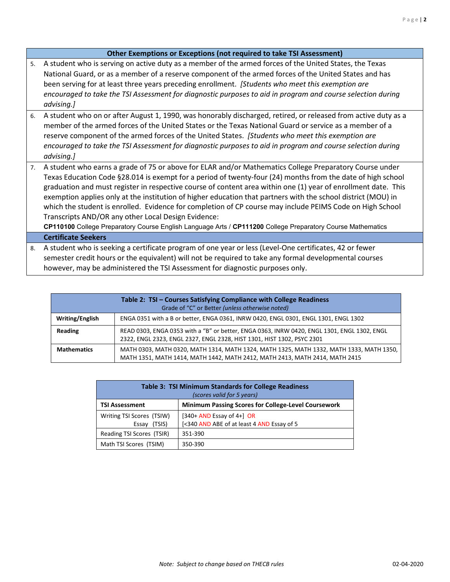#### **Other Exemptions or Exceptions (not required to take TSI Assessment)**

- 5. A student who is serving on active duty as a member of the armed forces of the United States, the Texas National Guard, or as a member of a reserve component of the armed forces of the United States and has been serving for at least three years preceding enrollment. *[Students who meet this exemption are encouraged to take the TSI Assessment for diagnostic purposes to aid in program and course selection during advising.]*
- 6. A student who on or after August 1, 1990, was honorably discharged, retired, or released from active duty as a member of the armed forces of the United States or the Texas National Guard or service as a member of a reserve component of the armed forces of the United States. *[Students who meet this exemption are encouraged to take the TSI Assessment for diagnostic purposes to aid in program and course selection during advising.]*
- 7. A student who earns a grade of 75 or above for ELAR and/or Mathematics College Preparatory Course under Texas Education Code §28.014 is exempt for a period of twenty-four (24) months from the date of high school graduation and must register in respective course of content area within one (1) year of enrollment date. This exemption applies only at the institution of higher education that partners with the school district (MOU) in which the student is enrolled. Evidence for completion of CP course may include PEIMS Code on High School Transcripts AND/OR any other Local Design Evidence:

**CP110100** College Preparatory Course English Language Arts / **CP111200** College Preparatory Course Mathematics

#### **Certificate Seekers**

8. A student who is seeking a certificate program of one year or less (Level-One certificates, 42 or fewer semester credit hours or the equivalent) will not be required to take any formal developmental courses however, may be administered the TSI Assessment for diagnostic purposes only.

| Table 2: TSI - Courses Satisfying Compliance with College Readiness<br>Grade of "C" or Better (unless otherwise noted) |                                                                                                                                                                        |  |  |  |
|------------------------------------------------------------------------------------------------------------------------|------------------------------------------------------------------------------------------------------------------------------------------------------------------------|--|--|--|
| Writing/English                                                                                                        | ENGA 0351 with a B or better, ENGA 0361, INRW 0420, ENGL 0301, ENGL 1301, ENGL 1302                                                                                    |  |  |  |
| Reading                                                                                                                | READ 0303, ENGA 0353 with a "B" or better, ENGA 0363, INRW 0420, ENGL 1301, ENGL 1302, ENGL<br>2322, ENGL 2323, ENGL 2327, ENGL 2328, HIST 1301, HIST 1302, PSYC 2301  |  |  |  |
| <b>Mathematics</b>                                                                                                     | MATH 0303, MATH 0320, MATH 1314, MATH 1324, MATH 1325, MATH 1332, MATH 1333, MATH 1350,<br>MATH 1351, MATH 1414, MATH 1442, MATH 2412, MATH 2413, MATH 2414, MATH 2415 |  |  |  |

| Table 3: TSI Minimum Standards for College Readiness<br>(scores valid for 5 years)  |                                                                             |  |  |
|-------------------------------------------------------------------------------------|-----------------------------------------------------------------------------|--|--|
| <b>Minimum Passing Scores for College-Level Coursework</b><br><b>TSI Assessment</b> |                                                                             |  |  |
| Writing TSI Scores (TSIW)<br>Essay (TSIS)                                           | $[340+AND$ Essay of 4+ $]$ OR<br>[<340 AND ABE of at least 4 AND Essay of 5 |  |  |
| Reading TSI Scores (TSIR)                                                           | 351-390                                                                     |  |  |
| Math TSI Scores (TSIM)                                                              | 350-390                                                                     |  |  |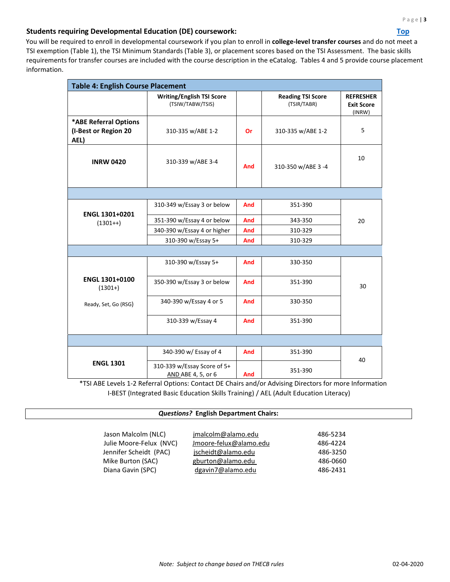### <span id="page-2-0"></span>**Students requiring Developmental Education (DE) coursework:** *Top*

You will be required to enroll in developmental coursework if you plan to enroll in **college-level transfer courses** and do not meet a TSI exemption (Table 1), the TSI Minimum Standards (Table 3), or placement scores based on the TSI Assessment. The basic skills requirements for transfer courses are included with the course description in the eCatalog. Tables 4 and 5 provide course placement information.

| <b>Table 4: English Course Placement</b>              |                                                      |            |                                         |                                                 |
|-------------------------------------------------------|------------------------------------------------------|------------|-----------------------------------------|-------------------------------------------------|
|                                                       | <b>Writing/English TSI Score</b><br>(TSIW/TABW/TSIS) |            | <b>Reading TSI Score</b><br>(TSIR/TABR) | <b>REFRESHER</b><br><b>Exit Score</b><br>(INRW) |
| *ABE Referral Options<br>(I-Best or Region 20<br>AEL) | 310-335 w/ABE 1-2                                    | Or         | 310-335 w/ABE 1-2                       | 5                                               |
| <b>INRW 0420</b>                                      | 310-339 w/ABE 3-4                                    | And        | 310-350 w/ABE 3 -4                      | 10                                              |
|                                                       |                                                      |            |                                         |                                                 |
|                                                       | 310-349 w/Essay 3 or below                           | And        | 351-390                                 |                                                 |
| ENGL 1301+0201<br>$(1301++)$                          | 351-390 w/Essay 4 or below                           | And        | 343-350                                 | 20                                              |
|                                                       | 340-390 w/Essay 4 or higher                          | <b>And</b> | 310-329                                 |                                                 |
|                                                       | 310-390 w/Essay 5+                                   | And        | 310-329                                 |                                                 |
|                                                       |                                                      |            |                                         |                                                 |
|                                                       | 310-390 w/Essay 5+                                   | And        | 330-350                                 |                                                 |
| <b>ENGL 1301+0100</b><br>$(1301+)$                    | 350-390 w/Essay 3 or below                           | And        | 351-390                                 | 30                                              |
| Ready, Set, Go (RSG)                                  | 340-390 w/Essay 4 or 5                               | <b>And</b> | 330-350                                 |                                                 |
|                                                       | 310-339 w/Essay 4                                    | And        | 351-390                                 |                                                 |
|                                                       |                                                      |            |                                         |                                                 |
|                                                       | 340-390 w/ Essay of 4                                | And        | 351-390                                 | 40                                              |
| <b>ENGL 1301</b>                                      | 310-339 w/Essay Score of 5+<br>AND ABE 4, 5, or 6    | And        | 351-390                                 |                                                 |

\*TSI ABE Levels 1-2 Referral Options: Contact DE Chairs and/or Advising Directors for more Information I-BEST (Integrated Basic Education Skills Training) / AEL (Adult Education Literacy)

#### *Questions?* **English Department Chairs:**

| Jason Malcolm (NLC)     | jmalcolm@alamo.edu     | 486-5234 |
|-------------------------|------------------------|----------|
| Julie Moore-Felux (NVC) | Jmoore-felux@alamo.edu | 486-4224 |
| Jennifer Scheidt (PAC)  | jscheidt@alamo.edu     | 486-3250 |
| Mike Burton (SAC)       | gburton@alamo.edu      | 486-0660 |
| Diana Gavin (SPC)       | dgavin7@alamo.edu      | 486-2431 |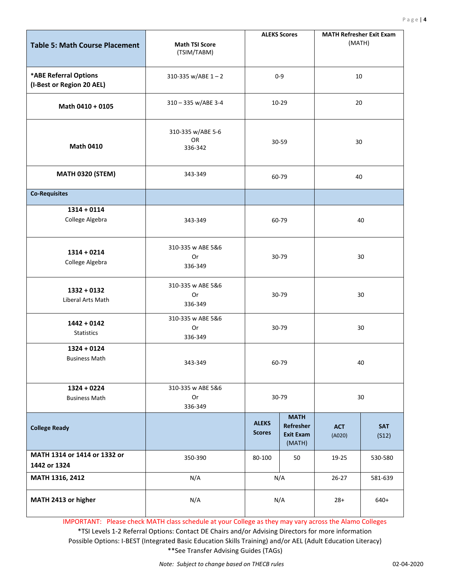| <b>Table 5: Math Course Placement</b>              | <b>Math TSI Score</b><br>(TSIM/TABM) | <b>ALEKS Scores</b>           |                                                        | <b>MATH Refresher Exit Exam</b><br>(MATH) |                     |  |
|----------------------------------------------------|--------------------------------------|-------------------------------|--------------------------------------------------------|-------------------------------------------|---------------------|--|
| *ABE Referral Options<br>(I-Best or Region 20 AEL) | 310-335 w/ABE $1 - 2$                | $0-9$                         |                                                        | 10                                        |                     |  |
| Math 0410 + 0105                                   | 310 - 335 w/ABE 3-4                  |                               | 10-29                                                  |                                           | 20                  |  |
| <b>Math 0410</b>                                   | 310-335 w/ABE 5-6<br>OR<br>336-342   | 30-59                         |                                                        | 30                                        |                     |  |
| <b>MATH 0320 (STEM)</b>                            | 343-349                              |                               | 60-79                                                  |                                           | 40                  |  |
| <b>Co-Requisites</b>                               |                                      |                               |                                                        |                                           |                     |  |
| $1314 + 0114$<br>College Algebra                   | 343-349                              | 60-79                         |                                                        | 40                                        |                     |  |
| $1314 + 0214$<br>College Algebra                   | 310-335 w ABE 5&6<br>Or<br>336-349   | 30-79                         |                                                        | 30                                        |                     |  |
| $1332 + 0132$<br>Liberal Arts Math                 | 310-335 w ABE 5&6<br>0r<br>336-349   | 30-79                         |                                                        | 30                                        |                     |  |
| $1442 + 0142$<br>Statistics                        | 310-335 w ABE 5&6<br>0r<br>336-349   | 30-79                         |                                                        | 30                                        |                     |  |
| $1324 + 0124$<br><b>Business Math</b>              | 343-349                              | 60-79                         |                                                        | 40                                        |                     |  |
| $1324 + 0224$<br><b>Business Math</b>              | 310-335 w ABE 5&6<br>Or<br>336-349   | 30-79                         |                                                        | 30                                        |                     |  |
| <b>College Ready</b>                               |                                      | <b>ALEKS</b><br><b>Scores</b> | <b>MATH</b><br>Refresher<br><b>Exit Exam</b><br>(MATH) | <b>ACT</b><br>(A020)                      | <b>SAT</b><br>(S12) |  |
| MATH 1314 or 1414 or 1332 or<br>1442 or 1324       | 350-390                              | 80-100                        | 50                                                     | 19-25                                     | 530-580             |  |
| MATH 1316, 2412                                    | N/A                                  | N/A                           |                                                        | $26 - 27$                                 | 581-639             |  |
| MATH 2413 or higher                                | N/A                                  | N/A                           |                                                        | $28+$                                     | $640+$              |  |

IMPORTANT: Please check MATH class schedule at your College as they may vary across the Alamo Colleges \*TSI Levels 1-2 Referral Options: Contact DE Chairs and/or Advising Directors for more information Possible Options: I-BEST (Integrated Basic Education Skills Training) and/or AEL (Adult Education Literacy) \*\*See Transfer Advising Guides (TAGs)